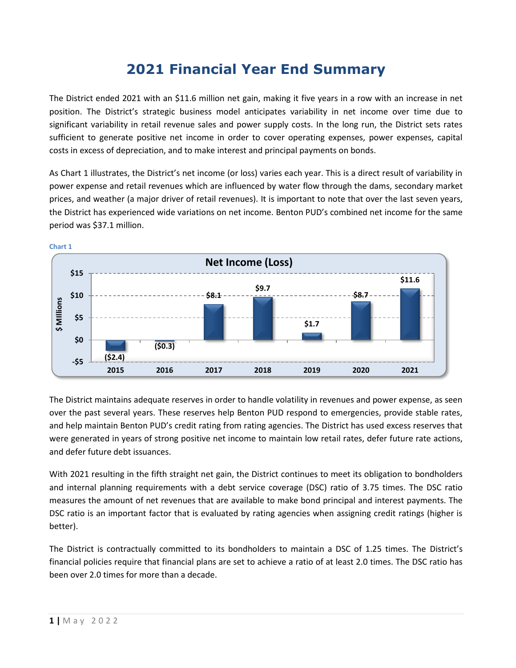# **2021 Financial Year End Summary**

The District ended 2021 with an \$11.6 million net gain, making it five years in a row with an increase in net position. The District's strategic business model anticipates variability in net income over time due to significant variability in retail revenue sales and power supply costs. In the long run, the District sets rates sufficient to generate positive net income in order to cover operating expenses, power expenses, capital costs in excess of depreciation, and to make interest and principal payments on bonds.

As Chart 1 illustrates, the District's net income (or loss) varies each year. This is a direct result of variability in power expense and retail revenues which are influenced by water flow through the dams, secondary market prices, and weather (a major driver of retail revenues). It is important to note that over the last seven years, the District has experienced wide variations on net income. Benton PUD's combined net income for the same period was \$37.1 million.



**Chart 1**

The District maintains adequate reserves in order to handle volatility in revenues and power expense, as seen over the past several years. These reserves help Benton PUD respond to emergencies, provide stable rates, and help maintain Benton PUD's credit rating from rating agencies. The District has used excess reserves that were generated in years of strong positive net income to maintain low retail rates, defer future rate actions, and defer future debt issuances.

With 2021 resulting in the fifth straight net gain, the District continues to meet its obligation to bondholders and internal planning requirements with a debt service coverage (DSC) ratio of 3.75 times. The DSC ratio measures the amount of net revenues that are available to make bond principal and interest payments. The DSC ratio is an important factor that is evaluated by rating agencies when assigning credit ratings (higher is better).

The District is contractually committed to its bondholders to maintain a DSC of 1.25 times. The District's financial policies require that financial plans are set to achieve a ratio of at least 2.0 times. The DSC ratio has been over 2.0 times for more than a decade.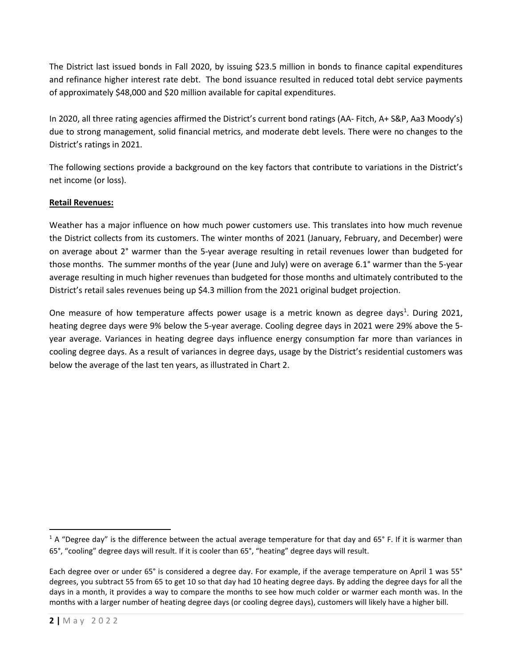The District last issued bonds in Fall 2020, by issuing \$23.5 million in bonds to finance capital expenditures and refinance higher interest rate debt. The bond issuance resulted in reduced total debt service payments of approximately \$48,000 and \$20 million available for capital expenditures.

In 2020, all three rating agencies affirmed the District's current bond ratings (AA- Fitch, A+ S&P, Aa3 Moody's) due to strong management, solid financial metrics, and moderate debt levels. There were no changes to the District's ratings in 2021.

The following sections provide a background on the key factors that contribute to variations in the District's net income (or loss).

## **Retail Revenues:**

Weather has a major influence on how much power customers use. This translates into how much revenue the District collects from its customers. The winter months of 2021 (January, February, and December) were on average about 2° warmer than the 5-year average resulting in retail revenues lower than budgeted for those months. The summer months of the year (June and July) were on average 6.1° warmer than the 5-year average resulting in much higher revenues than budgeted for those months and ultimately contributed to the District's retail sales revenues being up \$4.3 million from the 2021 original budget projection.

One measure of how temperature affects power usage is a metric known as degree days<sup>1</sup>. During 2021, heating degree days were 9% below the 5-year average. Cooling degree days in 2021 were 29% above the 5 year average. Variances in heating degree days influence energy consumption far more than variances in cooling degree days. As a result of variances in degree days, usage by the District's residential customers was below the average of the last ten years, as illustrated in Chart 2.

<sup>&</sup>lt;sup>1</sup> A "Degree day" is the difference between the actual average temperature for that day and 65° F. If it is warmer than 65°, "cooling" degree days will result. If it is cooler than 65°, "heating" degree days will result.

Each degree over or under 65° is considered a degree day. For example, if the average temperature on April 1 was 55° degrees, you subtract 55 from 65 to get 10 so that day had 10 heating degree days. By adding the degree days for all the days in a month, it provides a way to compare the months to see how much colder or warmer each month was. In the months with a larger number of heating degree days (or cooling degree days), customers will likely have a higher bill.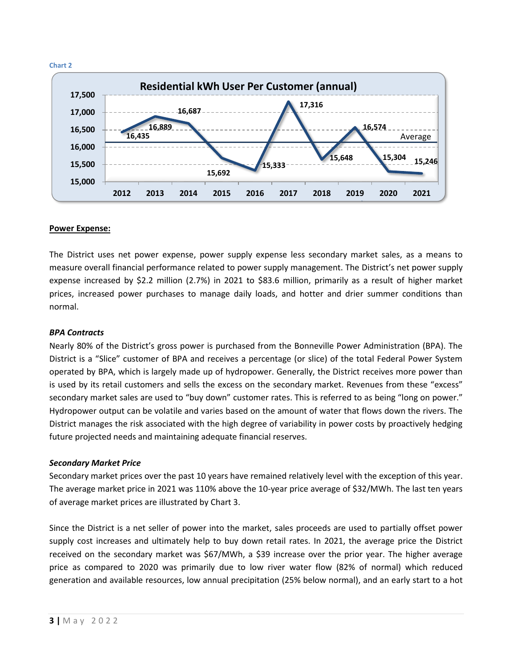

#### **Power Expense:**

The District uses net power expense, power supply expense less secondary market sales, as a means to measure overall financial performance related to power supply management. The District's net power supply expense increased by \$2.2 million (2.7%) in 2021 to \$83.6 million, primarily as a result of higher market prices, increased power purchases to manage daily loads, and hotter and drier summer conditions than normal.

#### *BPA Contracts*

Nearly 80% of the District's gross power is purchased from the Bonneville Power Administration (BPA). The District is a "Slice" customer of BPA and receives a percentage (or slice) of the total Federal Power System operated by BPA, which is largely made up of hydropower. Generally, the District receives more power than is used by its retail customers and sells the excess on the secondary market. Revenues from these "excess" secondary market sales are used to "buy down" customer rates. This is referred to as being "long on power." Hydropower output can be volatile and varies based on the amount of water that flows down the rivers. The District manages the risk associated with the high degree of variability in power costs by proactively hedging future projected needs and maintaining adequate financial reserves.

#### *Secondary Market Price*

Secondary market prices over the past 10 years have remained relatively level with the exception of this year. The average market price in 2021 was 110% above the 10-year price average of \$32/MWh. The last ten years of average market prices are illustrated by Chart 3.

Since the District is a net seller of power into the market, sales proceeds are used to partially offset power supply cost increases and ultimately help to buy down retail rates. In 2021, the average price the District received on the secondary market was \$67/MWh, a \$39 increase over the prior year. The higher average price as compared to 2020 was primarily due to low river water flow (82% of normal) which reduced generation and available resources, low annual precipitation (25% below normal), and an early start to a hot